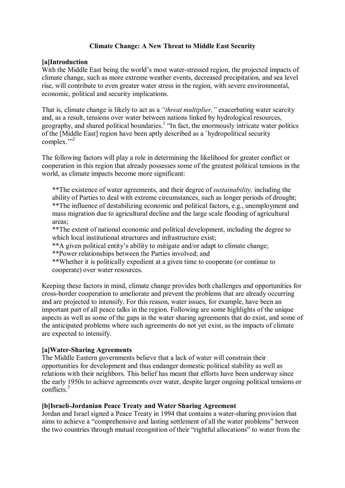# **Climate Change: A New Threat to Middle East Security**

### **[a]Introduction**

With the Middle East being the world's most water-stressed region, the projected impacts of climate change, such as more extreme weather events, decreased precipitation, and sea level rise, will contribute to even greater water stress in the region, with severe environmental, economic, political and security implications.

That is, climate change is likely to act as a *"threat multiplier,"* exacerbating water scarcity and, as a result, tensions over water between nations linked by hydrological resources, geography, and shared political boundaries.<sup>1</sup> "In fact, the enormously intricate water politics of the [Middle East] region have been aptly described as a `hydropolitical security complex.">2

The following factors will play a role in determining the likelihood for greater conflict or cooperation in this region that already possesses some of the greatest political tensions in the world, as climate impacts become more significant:

\*\*The existence of water agreements, and their degree of *sustainability,* including the ability of Parties to deal with extreme circumstances, such as longer periods of drought; \*\*The influence of destabilizing economic and political factors, e.g., unemployment and mass migration due to agricultural decline and the large scale flooding of agricultural areas;

\*\*The extent of national economic and political development, including the degree to which local institutional structures and infrastructure exist;

\*\*A given political entity's ability to mitigate and/or adapt to climate change;

\*\*Power relationships between the Parties involved; and

\*\*Whether it is politically expedient at a given time to cooperate (or continue to cooperate) over water resources.

Keeping these factors in mind, climate change provides both challenges and opportunities for cross-border cooperation to ameliorate and prevent the problems that are already occurring and are projected to intensify. For this reason, water issues, for example, have been an important part of all peace talks in the region. Following are some highlights of the unique aspects as well as some of the gaps in the water sharing agreements that do exist, and some of the anticipated problems where such agreements do not yet exist, as the impacts of climate are expected to intensify.

# **[a]Water-Sharing Agreements**

The Middle Eastern governments believe that a lack of water will constrain their opportunities for development and thus endanger domestic political stability as well as relations with their neighbors. This belief has meant that efforts have been underway since the early 1950s to achieve agreements over water, despite larger ongoing political tensions or conflicts.<sup>3</sup>

### **[b]Israeli-Jordanian Peace Treaty and Water Sharing Agreement**

Jordan and Israel signed a Peace Treaty in 1994 that contains a water-sharing provision that aims to achieve a "comprehensive and lasting settlement of all the water problems" between the two countries through mutual recognition of their "rightful allocations" to water from the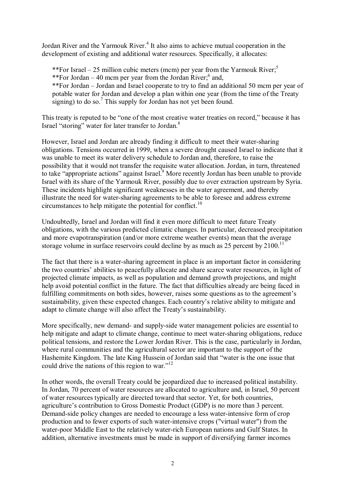Jordan River and the Yarmouk River.<sup>4</sup> It also aims to achieve mutual cooperation in the development of existing and additional water resources. Specifically, it allocates:

\*\*For Israel – 25 million cubic meters (mcm) per year from the Yarmouk River;<sup>5</sup> \*\*For Jordan  $-40$  mcm per year from the Jordan River;<sup>6</sup> and, \*\*For Jordan – Jordan and Israel cooperate to try to find an additional 50 mcm per year of potable water for Jordan and develop a plan within one year (from the time of the Treaty signing) to do so.<sup>7</sup> This supply for Jordan has not yet been found.

This treaty is reputed to be "one of the most creative water treaties on record," because it has Israel "storing" water for later transfer to Jordan.<sup>8</sup>

However, Israel and Jordan are already finding it difficult to meet their water-sharing obligations. Tensions occurred in 1999, when a severe drought caused Israel to indicate that it was unable to meet its water delivery schedule to Jordan and, therefore, to raise the possibility that it would not transfer the requisite water allocation. Jordan, in turn, threatened to take "appropriate actions" against Israel.<sup>9</sup> More recently Jordan has been unable to provide Israel with its share of the Yarmouk River, possibly due to over extraction upstream by Syria. These incidents highlight significant weaknesses in the water agreement, and thereby illustrate the need for water-sharing agreements to be able to foresee and address extreme circumstances to help mitigate the potential for conflict.<sup>10</sup>

Undoubtedly, Israel and Jordan will find it even more difficult to meet future Treaty obligations, with the various predicted climatic changes. In particular, decreased precipitation and more evapotranspiration (and/or more extreme weather events) mean that the average storage volume in surface reservoirs could decline by as much as  $25$  percent by  $2100$ .<sup>11</sup>

The fact that there is a water-sharing agreement in place is an important factor in considering the two countries' abilities to peacefully allocate and share scarce water resources, in light of projected climate impacts, as well as population and demand growth projections, and might help avoid potential conflict in the future. The fact that difficulties already are being faced in fulfilling commitments on both sides, however, raises some questions as to the agreement's sustainability, given these expected changes. Each country's relative ability to mitigate and adapt to climate change will also affect the Treaty's sustainability.

More specifically, new demand- and supply-side water management policies are essential to help mitigate and adapt to climate change, continue to meet water-sharing obligations, reduce political tensions, and restore the Lower Jordan River. This is the case, particularly in Jordan, where rural communities and the agricultural sector are important to the support of the Hashemite Kingdom. The late King Hussein of Jordan said that "water is the one issue that could drive the nations of this region to war."<sup>12</sup>

In other words, the overall Treaty could be jeopardized due to increased political instability. In Jordan, 70 percent of water resources are allocated to agriculture and, in Israel, 50 percent of water resources typically are directed toward that sector. Yet, for both countries, agriculture's contribution to Gross Domestic Product (GDP) is no more than 3 percent. Demand-side policy changes are needed to encourage a less water-intensive form of crop production and to fewer exports of such water-intensive crops ("virtual water") from the water-poor Middle East to the relatively water-rich European nations and Gulf States. In addition, alternative investments must be made in support of diversifying farmer incomes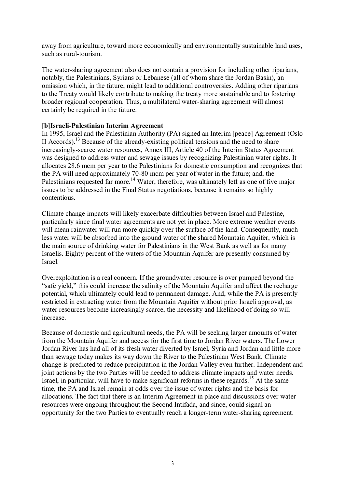away from agriculture, toward more economically and environmentally sustainable land uses, such as rural-tourism.

The water-sharing agreement also does not contain a provision for including other riparians, notably, the Palestinians, Syrians or Lebanese (all of whom share the Jordan Basin), an omission which, in the future, might lead to additional controversies. Adding other riparians to the Treaty would likely contribute to making the treaty more sustainable and to fostering broader regional cooperation. Thus, a multilateral water-sharing agreement will almost certainly be required in the future.

## **[b]Israeli-Palestinian Interim Agreement**

In 1995, Israel and the Palestinian Authority (PA) signed an Interim [peace] Agreement (Oslo II Accords).<sup>13</sup> Because of the already-existing political tensions and the need to share increasingly-scarce water resources, Annex III, Article 40 of the Interim Status Agreement was designed to address water and sewage issues by recognizing Palestinian water rights. It allocates 28.6 mcm per year to the Palestinians for domestic consumption and recognizes that the PA will need approximately 70-80 mcm per year of water in the future; and, the Palestinians requested far more.<sup>14</sup> Water, therefore, was ultimately left as one of five major issues to be addressed in the Final Status negotiations, because it remains so highly contentious.

Climate change impacts will likely exacerbate difficulties between Israel and Palestine, particularly since final water agreements are not yet in place. More extreme weather events will mean rainwater will run more quickly over the surface of the land. Consequently, much less water will be absorbed into the ground water of the shared Mountain Aquifer, which is the main source of drinking water for Palestinians in the West Bank as well as for many Israelis. Eighty percent of the waters of the Mountain Aquifer are presently consumed by Israel.

Overexploitation is a real concern. If the groundwater resource is over pumped beyond the "safe yield," this could increase the salinity of the Mountain Aquifer and affect the recharge potential, which ultimately could lead to permanent damage. And, while the PA is presently restricted in extracting water from the Mountain Aquifer without prior Israeli approval, as water resources become increasingly scarce, the necessity and likelihood of doing so will increase.

Because of domestic and agricultural needs, the PA will be seeking larger amounts of water from the Mountain Aquifer and access for the first time to Jordan River waters. The Lower Jordan River has had all of its fresh water diverted by Israel, Syria and Jordan and little more than sewage today makes its way down the River to the Palestinian West Bank. Climate change is predicted to reduce precipitation in the Jordan Valley even further. Independent and joint actions by the two Parties will be needed to address climate impacts and water needs. Israel, in particular, will have to make significant reforms in these regards.<sup>15</sup> At the same time, the PA and Israel remain at odds over the issue of water rights and the basis for allocations. The fact that there is an Interim Agreement in place and discussions over water resources were ongoing throughout the Second Intifada, and since, could signal an opportunity for the two Parties to eventually reach a longer-term water-sharing agreement.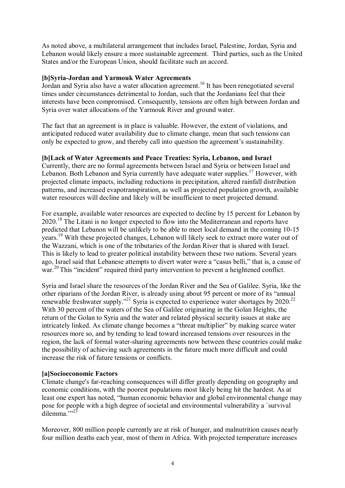As noted above, a multilateral arrangement that includes Israel, Palestine, Jordan, Syria and Lebanon would likely ensure a more sustainable agreement. Third parties, such as the United States and/or the European Union, should facilitate such an accord.

## **[b]Syria-Jordan and Yarmouk Water Agreements**

Jordan and Syria also have a water allocation agreement.<sup>16</sup> It has been renegotiated several times under circumstances detrimental to Jordan, such that the Jordanians feel that their interests have been compromised. Consequently, tensions are often high between Jordan and Syria over water allocations of the Yarmouk River and ground water.

The fact that an agreement is in place is valuable. However, the extent of violations, and anticipated reduced water availability due to climate change, mean that such tensions can only be expected to grow, and thereby call into question the agreement's sustainability.

## **[b]Lack of Water Agreements and Peace Treaties: Syria, Lebanon, and Israel**

Currently, there are no formal agreements between Israel and Syria or between Israel and Lebanon. Both Lebanon and Syria currently have adequate water supplies.<sup>17</sup> However, with projected climate impacts, including reductions in precipitation, altered rainfall distribution patterns, and increased evapotranspiration, as well as projected population growth, available water resources will decline and likely will be insufficient to meet projected demand.

For example, available water resources are expected to decline by 15 percent for Lebanon by 2020.<sup>18</sup> The Litani is no longer expected to flow into the Mediterranean and reports have predicted that Lebanon will be unlikely to be able to meet local demand in the coming 10-15 years.<sup>19</sup> With these projected changes, Lebanon will likely seek to extract more water out of the Wazzani, which is one of the tributaries of the Jordan River that is shared with Israel. This is likely to lead to greater political instability between these two nations. Several years ago, Israel said that Lebanese attempts to divert water were a "casus belli," that is, a cause of war.<sup>20</sup> This "incident" required third party intervention to prevent a heightened conflict.

Syria and Israel share the resources of the Jordan River and the Sea of Galilee. Syria, like the other riparians of the Jordan River, is already using about 95 percent or more of its "annual renewable freshwater supply."<sup>21</sup> Syria is expected to experience water shortages by 2020.<sup>22</sup> With 30 percent of the waters of the Sea of Galilee originating in the Golan Heights, the return of the Golan to Syria and the water and related physical security issues at stake are intricately linked. As climate change becomes a "threat multiplier" by making scarce water resources more so, and by tending to lead toward increased tensions over resources in the region, the lack of formal water-sharing agreements now between these countries could make the possibility of achieving such agreements in the future much more difficult and could increase the risk of future tensions or conflicts.

### **[a]Socioeconomic Factors**

Climate change's far-reaching consequences will differ greatly depending on geography and economic conditions, with the poorest populations most likely being hit the hardest. As at least one expert has noted, "human economic behavior and global environmental change may pose for people with a high degree of societal and environmental vulnerability a `survival dilemma $\cdots$ <sup>23</sup>

Moreover, 800 million people currently are at risk of hunger, and malnutrition causes nearly four million deaths each year, most of them in Africa. With projected temperature increases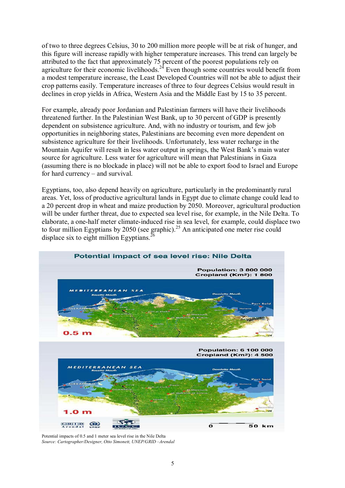of two to three degrees Celsius, 30 to 200 million more people will be at risk of hunger, and this figure will increase rapidly with higher temperature increases. This trend can largely be attributed to the fact that approximately 75 percent of the poorest populations rely on agriculture for their economic livelihoods.<sup>24</sup> Even though some countries would benefit from a modest temperature increase, the Least Developed Countries will not be able to adjust their crop patterns easily. Temperature increases of three to four degrees Celsius would result in declines in crop yields in Africa, Western Asia and the Middle East by 15 to 35 percent.

For example, already poor Jordanian and Palestinian farmers will have their livelihoods threatened further. In the Palestinian West Bank, up to 30 percent of GDP is presently dependent on subsistence agriculture. And, with no industry or tourism, and few job opportunities in neighboring states, Palestinians are becoming even more dependent on subsistence agriculture for their livelihoods. Unfortunately, less water recharge in the Mountain Aquifer will result in less water output in springs, the West Bank's main water source for agriculture. Less water for agriculture will mean that Palestinians in Gaza (assuming there is no blockade in place) will not be able to export food to Israel and Europe for hard currency – and survival.

Egyptians, too, also depend heavily on agriculture, particularly in the predominantly rural areas. Yet, loss of productive agricultural lands in Egypt due to climate change could lead to a 20 percent drop in wheat and maize production by 2050. Moreover, agricultural production will be under further threat, due to expected sea level rise, for example, in the Nile Delta. To elaborate, a one-half meter climate-induced rise in sea level, for example, could displace two to four million Egyptians by 2050 (see graphic).<sup>25</sup> An anticipated one meter rise could displace six to eight million Egyptians.<sup>26</sup>



Potential impacts of 0.5 and 1 meter sea level rise in the Nile Delta *Source: Cartographer/Designer, Otto Simonett, UNEP/GRID –Arendal*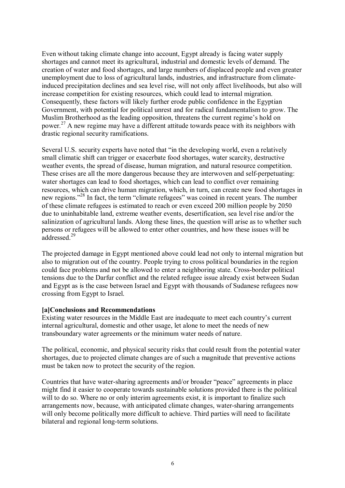Even without taking climate change into account, Egypt already is facing water supply shortages and cannot meet its agricultural, industrial and domestic levels of demand. The creation of water and food shortages, and large numbers of displaced people and even greater unemployment due to loss of agricultural lands, industries, and infrastructure from climateinduced precipitation declines and sea level rise, will not only affect livelihoods, but also will increase competition for existing resources, which could lead to internal migration. Consequently, these factors will likely further erode public confidence in the Egyptian Government, with potential for political unrest and for radical fundamentalism to grow. The Muslim Brotherhood as the leading opposition, threatens the current regime's hold on power.<sup>27</sup> A new regime may have a different attitude towards peace with its neighbors with drastic regional security ramifications.

Several U.S. security experts have noted that "in the developing world, even a relatively small climatic shift can trigger or exacerbate food shortages, water scarcity, destructive weather events, the spread of disease, human migration, and natural resource competition. These crises are all the more dangerous because they are interwoven and self-perpetuating: water shortages can lead to food shortages, which can lead to conflict over remaining resources, which can drive human migration, which, in turn, can create new food shortages in new regions."<sup>28</sup> In fact, the term "climate refugees" was coined in recent years. The number of these climate refugees is estimated to reach or even exceed 200 million people by 2050 due to uninhabitable land, extreme weather events, desertification, sea level rise and/or the salinization of agricultural lands. Along these lines, the question will arise as to whether such persons or refugees will be allowed to enter other countries, and how these issues will be addressed<sup>29</sup>

The projected damage in Egypt mentioned above could lead not only to internal migration but also to migration out of the country. People trying to cross political boundaries in the region could face problems and not be allowed to enter a neighboring state. Cross-border political tensions due to the Darfur conflict and the related refugee issue already exist between Sudan and Egypt as is the case between Israel and Egypt with thousands of Sudanese refugees now crossing from Egypt to Israel.

### **[a]Conclusions and Recommendations**

Existing water resources in the Middle East are inadequate to meet each country's current internal agricultural, domestic and other usage, let alone to meet the needs of new transboundary water agreements or the minimum water needs of nature.

The political, economic, and physical security risks that could result from the potential water shortages, due to projected climate changes are of such a magnitude that preventive actions must be taken now to protect the security of the region.

Countries that have water-sharing agreements and/or broader "peace" agreements in place might find it easier to cooperate towards sustainable solutions provided there is the political will to do so. Where no or only interim agreements exist, it is important to finalize such arrangements now, because, with anticipated climate changes, water-sharing arrangements will only become politically more difficult to achieve. Third parties will need to facilitate bilateral and regional long-term solutions.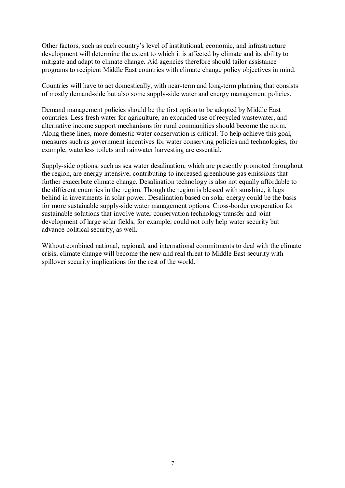Other factors, such as each country's level of institutional, economic, and infrastructure development will determine the extent to which it is affected by climate and its ability to mitigate and adapt to climate change. Aid agencies therefore should tailor assistance programs to recipient Middle East countries with climate change policy objectives in mind.

Countries will have to act domestically, with near-term and long-term planning that consists of mostly demand-side but also some supply-side water and energy management policies.

Demand management policies should be the first option to be adopted by Middle East countries. Less fresh water for agriculture, an expanded use of recycled wastewater, and alternative income support mechanisms for rural communities should become the norm. Along these lines, more domestic water conservation is critical. To help achieve this goal, measures such as government incentives for water conserving policies and technologies, for example, waterless toilets and rainwater harvesting are essential.

Supply-side options, such as sea water desalination, which are presently promoted throughout the region, are energy intensive, contributing to increased greenhouse gas emissions that further exacerbate climate change. Desalination technology is also not equally affordable to the different countries in the region. Though the region is blessed with sunshine, it lags behind in investments in solar power. Desalination based on solar energy could be the basis for more sustainable supply-side water management options. Cross-border cooperation for sustainable solutions that involve water conservation technology transfer and joint development of large solar fields, for example, could not only help water security but advance political security, as well.

Without combined national, regional, and international commitments to deal with the climate crisis, climate change will become the new and real threat to Middle East security with spillover security implications for the rest of the world.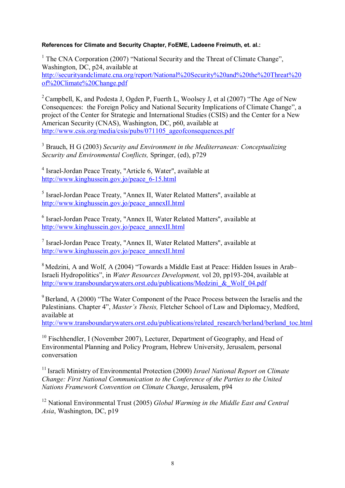### **References for Climate and Security Chapter, FoEME, Ladeene Freimuth, et. al.:**

<sup>1</sup> The CNA Corporation (2007) "National Security and the Threat of Climate Change", Washington, DC, p24, available at http://securityandclimate.cna.org/report/National%20Security%20and%20the%20Threat%20 of%20Climate%20Change.pdf

<sup>2</sup> Campbell, K, and Podesta J, Ogden P, Fuerth L, Woolsey J, et al  $(2007)$  "The Age of New Consequences: the Foreign Policy and National Security Implications of Climate Change", a project of the Center for Strategic and International Studies (CSIS) and the Center for a New American Security (CNAS), Washington, DC, p60, available at http://www.csis.org/media/csis/pubs/071105\_ageofconsequences.pdf

<sup>3</sup> Brauch, H G (2003) *Security and Environment in the Mediterranean: Conceptualizing Security and Environmental Conflicts,* Springer, (ed), p729

<sup>4</sup> Israel-Jordan Peace Treaty, "Article 6, Water", available at http://www.kinghussein.gov.jo/peace\_6-15.html

<sup>5</sup> Israel-Jordan Peace Treaty, "Annex II, Water Related Matters", available at http://www.kinghussein.gov.jo/peace\_annexII.html

<sup>6</sup> Israel-Jordan Peace Treaty, "Annex II, Water Related Matters", available at http://www.kinghussein.gov.jo/peace\_annexII.html

<sup>7</sup> Israel-Jordan Peace Treaty, "Annex II, Water Related Matters", available at http://www.kinghussein.gov.jo/peace\_annexII.html

<sup>8</sup> Medzini, A and Wolf, A (2004) "Towards a Middle East at Peace: Hidden Issues in Arab-Israeli Hydropolitics", in *Water Resources Development,* vol 20, pp193-204, available at http://www.transboundarywaters.orst.edu/publications/Medzini\_&\_Wolf\_04.pdf

 $9^9$  Berland, A (2000) "The Water Component of the Peace Process between the Israelis and the Palestinians. Chapter 4", *Master's Thesis,* Fletcher School of Law and Diplomacy, Medford, available at

http://www.transboundarywaters.orst.edu/publications/related\_research/berland/berland\_toc.html

<sup>10</sup> Fischhendler, I (November 2007), Lecturer, Department of Geography, and Head of Environmental Planning and Policy Program, Hebrew University, Jerusalem, personal conversation

<sup>11</sup> Israeli Ministry of Environmental Protection (2000) *Israel National Report on Climate Change: First National Communication to the Conference of the Parties to the United Nations Framework Convention on Climate Change*, Jerusalem, p94

<sup>12</sup> National Environmental Trust (2005) *Global Warming in the Middle East and Central Asia*, Washington, DC, p19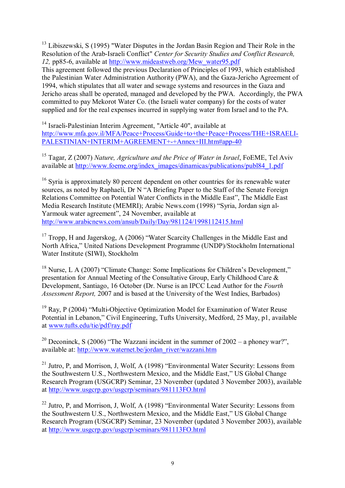<sup>13</sup> Libiszewski, S (1995) "Water Disputes in the Jordan Basin Region and Their Role in the Resolution of the Arab-Israeli Conflict" *Center for Security Studies and Conflict Research, 12,* pp85-6, available at http://www.mideastweb.org/Mew\_water95.pdf This agreement followed the previous Declaration of Principles of 1993, which established the Palestinian Water Administration Authority (PWA), and the Gaza-Jericho Agreement of 1994, which stipulates that all water and sewage systems and resources in the Gaza and Jericho areas shall be operated, managed and developed by the PWA. Accordingly, the PWA committed to pay Mekorot Water Co. (the Israeli water company) for the costs of water supplied and for the real expenses incurred in supplying water from Israel and to the PA.

<sup>14</sup> Israeli-Palestinian Interim Agreement, "Article 40", available at http://www.mfa.gov.il/MFA/Peace+Process/Guide+to+the+Peace+Process/THE+ISRAELI-PALESTINIAN+INTERIM+AGREEMENT+-+Annex+III.htm#app-40

<sup>15</sup> Tagar, Z (2007) *Nature, Agriculture and the Price of Water in Israel*, FoEME, Tel Aviv available at http://www.foeme.org/index\_images/dinamicas/publications/publ84\_1.pdf

<sup>16</sup> Syria is approximately 80 percent dependent on other countries for its renewable water sources, as noted by Raphaeli, Dr N "A Briefing Paper to the Staff of the Senate Foreign Relations Committee on Potential Water Conflicts in the Middle East", The Middle East Media Research Institute (MEMRI); Arabic News.com (1998) "Syria, Jordan sign al-Yarmouk water agreement", 24 November, available at http://www.arabicnews.com/ansub/Daily/Day/981124/1998112415.html

<sup>17</sup> Tropp, H and Jagerskog, A (2006) "Water Scarcity Challenges in the Middle East and North Africa," United Nations Development Programme (UNDP)/Stockholm International Water Institute (SIWI), Stockholm

<sup>18</sup> Nurse, L A (2007) "Climate Change: Some Implications for Children's Development," presentation for Annual Meeting of the Consultative Group, Early Childhood Care & Development, Santiago, 16 October (Dr. Nurse is an IPCC Lead Author for the *Fourth Assessment Report,* 2007 and is based at the University of the West Indies, Barbados)

<sup>19</sup> Ray, P (2004) "Multi-Objective Optimization Model for Examination of Water Reuse Potential in Lebanon," Civil Engineering, Tufts University, Medford, 25 May, p1, available at www.tufts.edu/tie/pdf/ray.pdf

<sup>20</sup> Deconinck, S (2006) "The Wazzani incident in the summer of  $2002 - a$  phoney war?". available at: http://www.waternet.be/jordan\_river/wazzani.htm

<sup>21</sup> Jutro, P, and Morrison, J, Wolf, A (1998) "Environmental Water Security: Lessons from the Southwestern U.S., Northwestern Mexico, and the Middle East," US Global Change Research Program (USGCRP) Seminar, 23 November (updated 3 November 2003), available at http://www.usgcrp.gov/usgcrp/seminars/981113FO.html

 $22$  Jutro, P, and Morrison, J, Wolf, A (1998) "Environmental Water Security: Lessons from the Southwestern U.S., Northwestern Mexico, and the Middle East," US Global Change Research Program (USGCRP) Seminar, 23 November (updated 3 November 2003), available at http://www.usgcrp.gov/usgcrp/seminars/981113FO.html